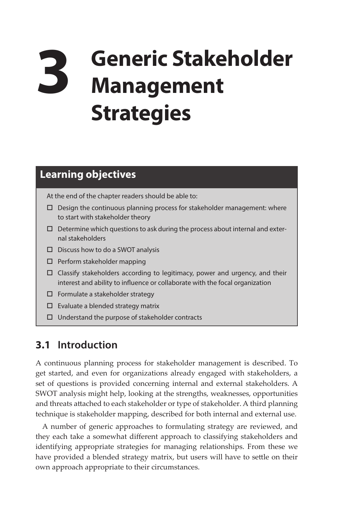# **3 Generic Stakeholder Management Strategies**

## **Learning objectives**

At the end of the chapter readers should be able to:

- $\square$  Design the continuous planning process for stakeholder management: where to start with stakeholder theory
- $\square$  Determine which questions to ask during the process about internal and external stakeholders
- $\square$  Discuss how to do a SWOT analysis
- $\square$  Perform stakeholder mapping
- Classify stakeholders according to legitimacy, power and urgency, and their interest and ability to influence or collaborate with the focal organization
- $\square$  Formulate a stakeholder strategy
- $\square$  Evaluate a blended strategy matrix
- $\Box$  Understand the purpose of stakeholder contracts

## **3.1 Introduction**

A continuous planning process for stakeholder management is described. To get started, and even for organizations already engaged with stakeholders, a set of questions is provided concerning internal and external stakeholders. A SWOT analysis might help, looking at the strengths, weaknesses, opportunities and threats attached to each stakeholder or type of stakeholder. A third planning technique is stakeholder mapping, described for both internal and external use.

A number of generic approaches to formulating strategy are reviewed, and they each take a somewhat different approach to classifying stakeholders and identifying appropriate strategies for managing relationships. From these we have provided a blended strategy matrix, but users will have to settle on their own approach appropriate to their circumstances.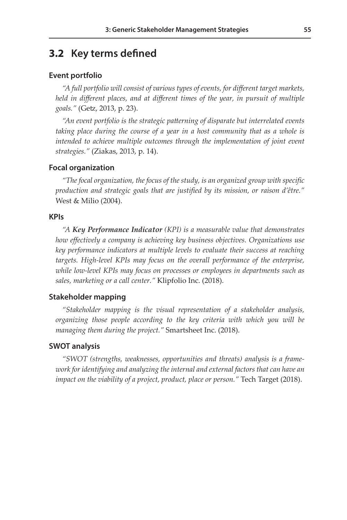## **3.2 Key terms defined**

#### **Event portfolio**

*"A full portfolio will consist of various types of events, for different target markets, held in different places, and at different times of the year, in pursuit of multiple goals."* (Getz, 2013, p. 23).

*"An event portfolio is the strategic patterning of disparate but interrelated events*  taking place during the course of a year in a host community that as a whole is intended to achieve multiple outcomes through the implementation of joint event *strategies."* (Ziakas, 2013, p. 14).

#### **Focal organization**

*"The focal organization, the focus of the study, is an organized group with specific production and strategic goals that are justified by its mission, or raison d'être."*  West & Milio (2004).

#### **KPIs**

*"A Key Performance Indicator (KPI) is a measurable value that demonstrates how effectively a company is achieving key business objectives. Organizations use key performance indicators at multiple levels to evaluate their success at reaching targets. High-level KPIs may focus on the overall performance of the enterprise, while low-level KPIs may focus on processes or employees in departments such as sales, marketing or a call center."* Klipfolio Inc. (2018).

#### **Stakeholder mapping**

*"Stakeholder mapping is the visual representation of a stakeholder analysis, organizing those people according to the key criteria with which you will be managing them during the project."* Smartsheet Inc. (2018).

#### **SWOT analysis**

*"SWOT (strengths, weaknesses, opportunities and threats) analysis is a frame*work for identifying and analyzing the internal and external factors that can have an *impact on the viability of a project, product, place or person."* Tech Target (2018).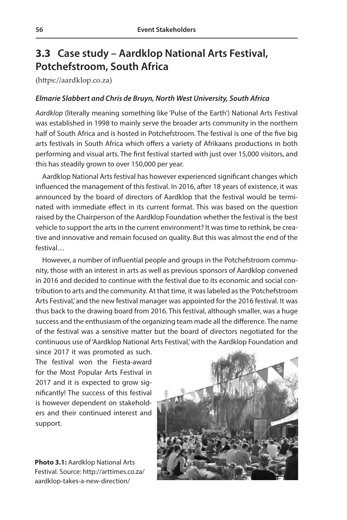# **3.3 Case study – Aardklop National Arts Festival, Potchefstroom, South Africa**

([https://aardklop.co.za\)](https://aardklop.co.za)

#### *Elmarie Slabbert and Chris de Bruyn, North West University, South Africa*

*Aardklop* (literally meaning something like 'Pulse of the Earth') National Arts Festival was established in 1998 to mainly serve the broader arts community in the northern half of South Africa and is hosted in Potchefstroom. The festival is one of the five big arts festivals in South Africa which offers a variety of Afrikaans productions in both performing and visual arts. The first festival started with just over 15,000 visitors, and this has steadily grown to over 150,000 per year.

Aardklop National Arts festival has however experienced significant changes which influenced the management of this festival. In 2016, after 18 years of existence, it was announced by the board of directors of Aardklop that the festival would be terminated with immediate effect in its current format. This was based on the question raised by the Chairperson of the Aardklop Foundation whether the festival is the best vehicle to support the arts in the current environment? It was time to rethink, be creative and innovative and remain focused on quality. But this was almost the end of the festival…

However, a number of influential people and groups in the Potchefstroom community, those with an interest in arts as well as previous sponsors of Aardklop convened in 2016 and decided to continue with the festival due to its economic and social contribution to arts and the community. At that time, it was labeled as the 'Potchefstroom Arts Festival,' and the new festival manager was appointed for the 2016 festival. It was thus back to the drawing board from 2016. This festival, although smaller, was a huge success and the enthusiasm of the organizing team made all the difference. The name of the festival was a sensitive matter but the board of directors negotiated for the continuous use of 'Aardklop National Arts Festival,' with the Aardklop Foundation and

since 2017 it was promoted as such. The festival won the Fiesta-award for the Most Popular Arts Festival in 2017 and it is expected to grow significantly! The success of this festival is however dependent on stakeholders and their continued interest and support.

**Photo 3.1:** Aardklop National Arts Festival. Source: http://arttimes.co.za/ aardklop-takes-a-new-direction/